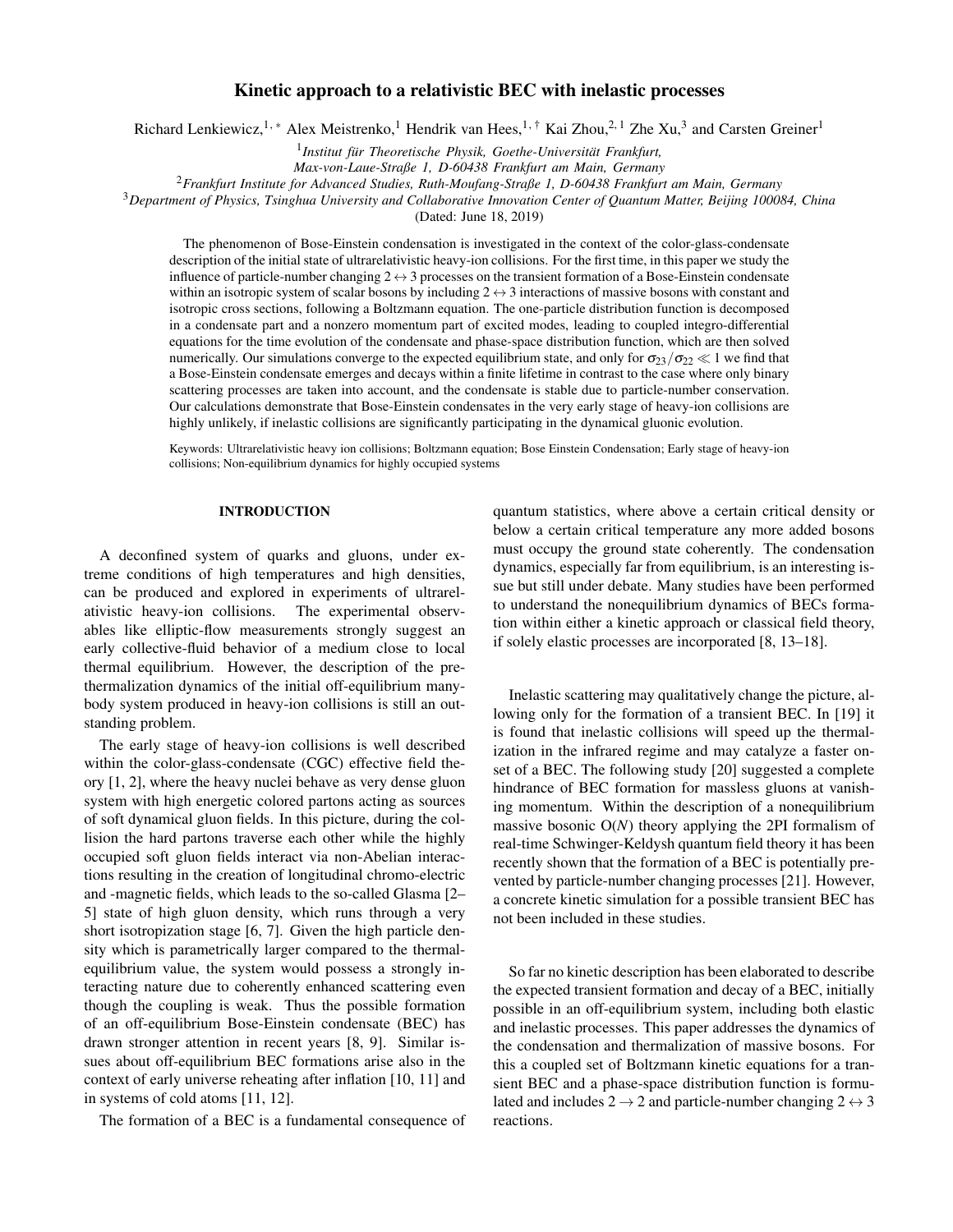# Kinetic approach to a relativistic BEC with inelastic processes

Richard Lenkiewicz,<sup>1, \*</sup> Alex Meistrenko,<sup>1</sup> Hendrik van Hees,<sup>1,†</sup> Kai Zhou,<sup>2,1</sup> Zhe Xu,<sup>3</sup> and Carsten Greiner<sup>1</sup>

<sup>1</sup> Institut für Theoretische Physik, Goethe-Universität Frankfurt,

*Max-von-Laue-Straße 1, D-60438 Frankfurt am Main, Germany*

<sup>2</sup>*Frankfurt Institute for Advanced Studies, Ruth-Moufang-Straße 1, D-60438 Frankfurt am Main, Germany*

<sup>3</sup>*Department of Physics, Tsinghua University and Collaborative Innovation Center of Quantum Matter, Beijing 100084, China*

(Dated: June 18, 2019)

The phenomenon of Bose-Einstein condensation is investigated in the context of the color-glass-condensate description of the initial state of ultrarelativistic heavy-ion collisions. For the first time, in this paper we study the influence of particle-number changing  $2 \leftrightarrow 3$  processes on the transient formation of a Bose-Einstein condensate within an isotropic system of scalar bosons by including  $2 \leftrightarrow 3$  interactions of massive bosons with constant and isotropic cross sections, following a Boltzmann equation. The one-particle distribution function is decomposed in a condensate part and a nonzero momentum part of excited modes, leading to coupled integro-differential equations for the time evolution of the condensate and phase-space distribution function, which are then solved numerically. Our simulations converge to the expected equilibrium state, and only for  $\sigma_{23}/\sigma_{22} \ll 1$  we find that a Bose-Einstein condensate emerges and decays within a finite lifetime in contrast to the case where only binary scattering processes are taken into account, and the condensate is stable due to particle-number conservation. Our calculations demonstrate that Bose-Einstein condensates in the very early stage of heavy-ion collisions are highly unlikely, if inelastic collisions are significantly participating in the dynamical gluonic evolution.

Keywords: Ultrarelativistic heavy ion collisions; Boltzmann equation; Bose Einstein Condensation; Early stage of heavy-ion collisions; Non-equilibrium dynamics for highly occupied systems

## INTRODUCTION

A deconfined system of quarks and gluons, under extreme conditions of high temperatures and high densities, can be produced and explored in experiments of ultrarelativistic heavy-ion collisions. The experimental observables like elliptic-flow measurements strongly suggest an early collective-fluid behavior of a medium close to local thermal equilibrium. However, the description of the prethermalization dynamics of the initial off-equilibrium manybody system produced in heavy-ion collisions is still an outstanding problem.

The early stage of heavy-ion collisions is well described within the color-glass-condensate (CGC) effective field theory [1, 2], where the heavy nuclei behave as very dense gluon system with high energetic colored partons acting as sources of soft dynamical gluon fields. In this picture, during the collision the hard partons traverse each other while the highly occupied soft gluon fields interact via non-Abelian interactions resulting in the creation of longitudinal chromo-electric and -magnetic fields, which leads to the so-called Glasma [2– 5] state of high gluon density, which runs through a very short isotropization stage [6, 7]. Given the high particle density which is parametrically larger compared to the thermalequilibrium value, the system would possess a strongly interacting nature due to coherently enhanced scattering even though the coupling is weak. Thus the possible formation of an off-equilibrium Bose-Einstein condensate (BEC) has drawn stronger attention in recent years [8, 9]. Similar issues about off-equilibrium BEC formations arise also in the context of early universe reheating after inflation [10, 11] and in systems of cold atoms [11, 12].

The formation of a BEC is a fundamental consequence of

quantum statistics, where above a certain critical density or below a certain critical temperature any more added bosons must occupy the ground state coherently. The condensation dynamics, especially far from equilibrium, is an interesting issue but still under debate. Many studies have been performed to understand the nonequilibrium dynamics of BECs formation within either a kinetic approach or classical field theory, if solely elastic processes are incorporated [8, 13–18].

Inelastic scattering may qualitatively change the picture, allowing only for the formation of a transient BEC. In [19] it is found that inelastic collisions will speed up the thermalization in the infrared regime and may catalyze a faster onset of a BEC. The following study [20] suggested a complete hindrance of BEC formation for massless gluons at vanishing momentum. Within the description of a nonequilibrium massive bosonic  $O(N)$  theory applying the 2PI formalism of real-time Schwinger-Keldysh quantum field theory it has been recently shown that the formation of a BEC is potentially prevented by particle-number changing processes [21]. However, a concrete kinetic simulation for a possible transient BEC has not been included in these studies.

So far no kinetic description has been elaborated to describe the expected transient formation and decay of a BEC, initially possible in an off-equilibrium system, including both elastic and inelastic processes. This paper addresses the dynamics of the condensation and thermalization of massive bosons. For this a coupled set of Boltzmann kinetic equations for a transient BEC and a phase-space distribution function is formulated and includes  $2 \rightarrow 2$  and particle-number changing  $2 \leftrightarrow 3$ reactions.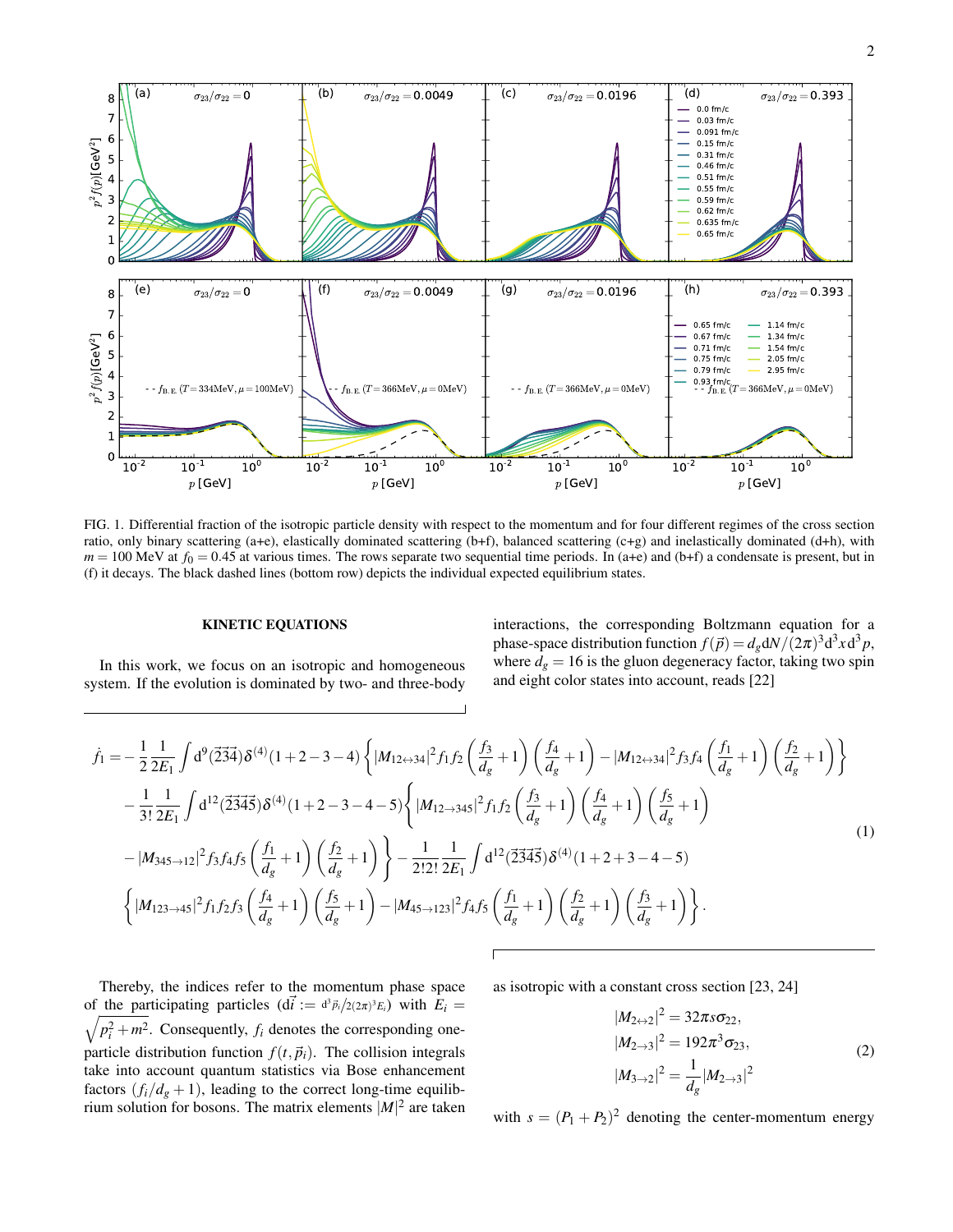

FIG. 1. Differential fraction of the isotropic particle density with respect to the momentum and for four different regimes of the cross section ratio, only binary scattering (a+e), elastically dominated scattering (b+f), balanced scattering (c+g) and inelastically dominated (d+h), with  $m = 100$  MeV at  $f_0 = 0.45$  at various times. The rows separate two sequential time periods. In (a+e) and (b+f) a condensate is present, but in (f) it decays. The black dashed lines (bottom row) depicts the individual expected equilibrium states.

## KINETIC EQUATIONS

In this work, we focus on an isotropic and homogeneous system. If the evolution is dominated by two- and three-body interactions, the corresponding Boltzmann equation for a phase-space distribution function  $f(\vec{p}) = d_g dN/(2\pi)^3 d^3x d^3p$ , where  $d_g = 16$  is the gluon degeneracy factor, taking two spin and eight color states into account, reads [22]

$$
\dot{f}_{1} = -\frac{1}{2} \frac{1}{2E_{1}} \int d^{9}(\vec{234}) \delta^{(4)}(1+2-3-4) \left\{ |M_{12 \leftrightarrow 34}|^{2} f_{1} f_{2} \left( \frac{f_{3}}{d_{g}} + 1 \right) \left( \frac{f_{4}}{d_{g}} + 1 \right) - |M_{12 \leftrightarrow 34}|^{2} f_{3} f_{4} \left( \frac{f_{1}}{d_{g}} + 1 \right) \left( \frac{f_{2}}{d_{g}} + 1 \right) \right\} \n- \frac{1}{3!} \frac{1}{2E_{1}} \int d^{12}(\vec{2345}) \delta^{(4)}(1+2-3-4-5) \left\{ |M_{12 \to 345}|^{2} f_{1} f_{2} \left( \frac{f_{3}}{d_{g}} + 1 \right) \left( \frac{f_{4}}{d_{g}} + 1 \right) \left( \frac{f_{5}}{d_{g}} + 1 \right) \right. \n- |M_{345 \to 12}|^{2} f_{3} f_{4} f_{5} \left( \frac{f_{1}}{d_{g}} + 1 \right) \left( \frac{f_{2}}{d_{g}} + 1 \right) \right\} - \frac{1}{2!2!} \frac{1}{2E_{1}} \int d^{12}(\vec{2345}) \delta^{(4)}(1+2+3-4-5) \n\left\{ |M_{123 \to 45}|^{2} f_{1} f_{2} f_{3} \left( \frac{f_{4}}{d_{g}} + 1 \right) \left( \frac{f_{5}}{d_{g}} + 1 \right) - |M_{45 \to 123}|^{2} f_{4} f_{5} \left( \frac{f_{1}}{d_{g}} + 1 \right) \left( \frac{f_{2}}{d_{g}} + 1 \right) \left( \frac{f_{3}}{d_{g}} + 1 \right) \right\}.
$$
\n(1)

Thereby, the indices refer to the momentum phase space of the participating particles  $(d\vec{i} := d^3\vec{p}_i/2(2\pi)^3E_i)$  with  $E_i =$  $\sqrt{p_i^2}$  $\frac{2}{i} + m^2$ . Consequently,  $f_i$  denotes the corresponding oneparticle distribution function  $f(t,\vec{p}_i)$ . The collision integrals take into account quantum statistics via Bose enhancement factors  $(f_i/d_g + 1)$ , leading to the correct long-time equilibrium solution for bosons. The matrix elements  $|M|^2$  are taken

as isotropic with a constant cross section [23, 24]

$$
|M_{2\leftrightarrow 2}|^2 = 32\pi s \sigma_{22},
$$
  
\n
$$
|M_{2\to 3}|^2 = 192\pi^3 \sigma_{23},
$$
  
\n
$$
|M_{3\to 2}|^2 = \frac{1}{d_g} |M_{2\to 3}|^2
$$
\n(2)

with  $s = (P_1 + P_2)^2$  denoting the center-momentum energy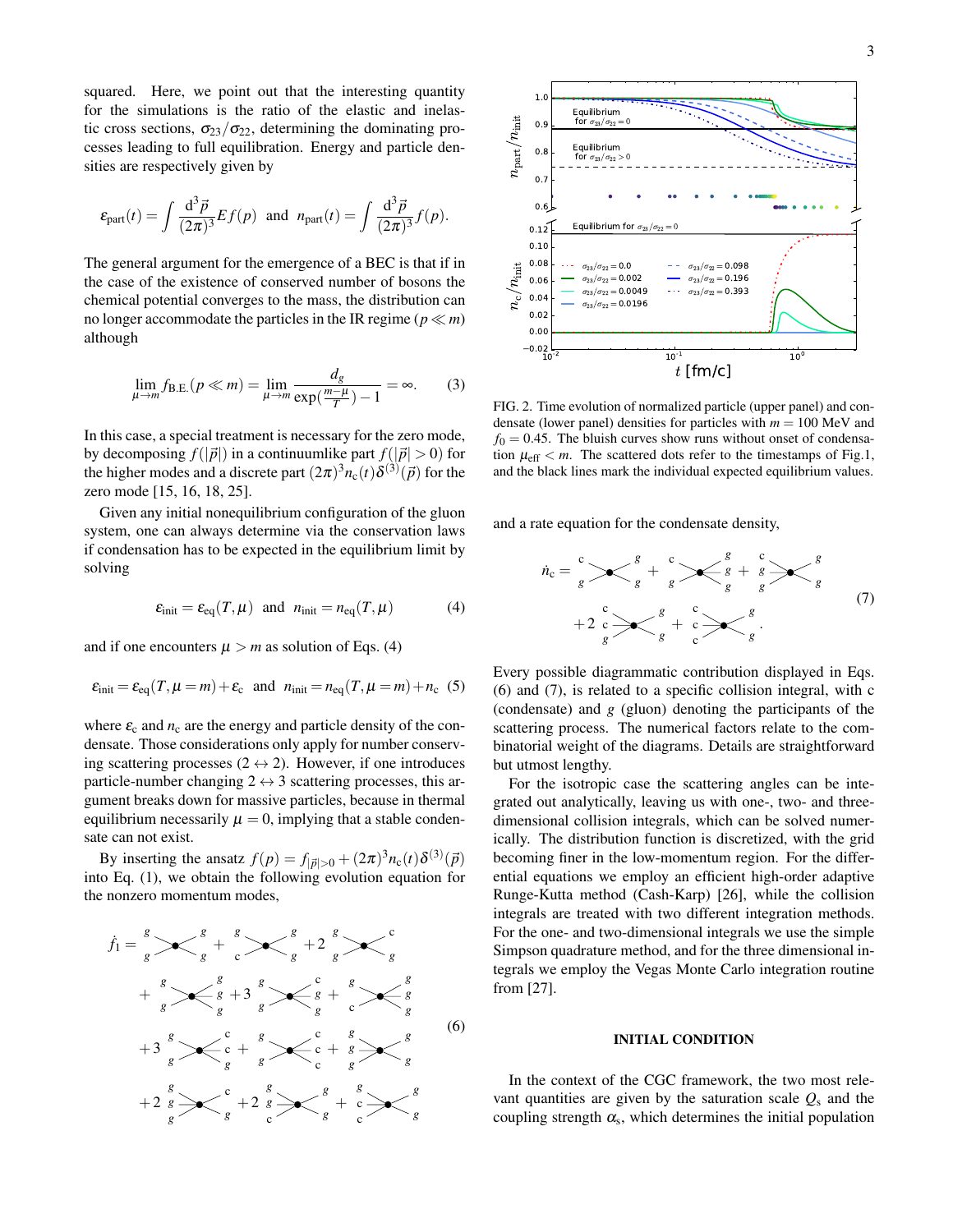squared. Here, we point out that the interesting quantity for the simulations is the ratio of the elastic and inelastic cross sections,  $\sigma_{23}/\sigma_{22}$ , determining the dominating processes leading to full equilibration. Energy and particle densities are respectively given by

$$
\varepsilon_{\rm part}(t)=\int\frac{\mathrm{d}^3\vec{p}}{(2\pi)^3}Ef(p)\;\;\text{and}\;\;n_{\rm part}(t)=\int\frac{\mathrm{d}^3\vec{p}}{(2\pi)^3}f(p).
$$

The general argument for the emergence of a BEC is that if in the case of the existence of conserved number of bosons the chemical potential converges to the mass, the distribution can no longer accommodate the particles in the IR regime ( $p \ll m$ ) although

$$
\lim_{\mu \to m} f_{B.E.}(p \ll m) = \lim_{\mu \to m} \frac{d_g}{\exp(\frac{m-\mu}{T}) - 1} = \infty.
$$
 (3)

In this case, a special treatment is necessary for the zero mode, by decomposing  $f(|\vec{p}|)$  in a continuumlike part  $f(|\vec{p}| > 0)$  for the higher modes and a discrete part  $(2\pi)^3 n_c(t) \delta^{(3)}(\vec{p})$  for the zero mode [15, 16, 18, 25].

Given any initial nonequilibrium configuration of the gluon system, one can always determine via the conservation laws if condensation has to be expected in the equilibrium limit by solving

$$
\varepsilon_{\text{init}} = \varepsilon_{\text{eq}}(T, \mu) \quad \text{and} \quad n_{\text{init}} = n_{\text{eq}}(T, \mu) \tag{4}
$$

and if one encounters  $\mu > m$  as solution of Eqs. (4)

$$
\varepsilon_{\text{init}} = \varepsilon_{\text{eq}}(T, \mu = m) + \varepsilon_{\text{c}} \quad \text{and} \quad n_{\text{init}} = n_{\text{eq}}(T, \mu = m) + n_{\text{c}} \quad (5)
$$

where  $\varepsilon_c$  and  $n_c$  are the energy and particle density of the condensate. Those considerations only apply for number conserving scattering processes ( $2 \leftrightarrow 2$ ). However, if one introduces particle-number changing  $2 \leftrightarrow 3$  scattering processes, this argument breaks down for massive particles, because in thermal equilibrium necessarily  $\mu = 0$ , implying that a stable condensate can not exist.

By inserting the ansatz  $f(p) = f_{|\vec{p}|>0} + (2\pi)^3 n_c(t) \delta^{(3)}(\vec{p})$ into Eq. (1), we obtain the following evolution equation for the nonzero momentum modes,

$$
\dot{f}_1 = \frac{s}{s} \times \frac{s}{s} + \frac{s}{s} \times \frac{s}{s} + 2\frac{s}{s} \times \frac{c}{s}
$$
\n
$$
+ \frac{s}{s} \times \frac{s}{s} + 3\frac{s}{s} \times \frac{c}{s} + \frac{s}{s} \times \frac{s}{s}
$$
\n
$$
+ 3\frac{s}{s} \times \frac{c}{s} + \frac{s}{s} \times \frac{c}{c} + \frac{s}{s} \times \frac{s}{s}
$$
\n
$$
+ 2\frac{s}{s} \times \frac{c}{s} + 2\frac{s}{s} \times \frac{s}{s} + \frac{s}{s} \times \frac{s}{s}
$$
\n
$$
(6)
$$



FIG. 2. Time evolution of normalized particle (upper panel) and condensate (lower panel) densities for particles with  $m = 100$  MeV and  $f<sub>0</sub> = 0.45$ . The bluish curves show runs without onset of condensation  $\mu_{\text{eff}} < m$ . The scattered dots refer to the timestamps of Fig.1, and the black lines mark the individual expected equilibrium values.

and a rate equation for the condensate density,

$$
\dot{n}_{c} = \frac{c}{g} \sum \left\langle \frac{g}{g} + \frac{c}{g} \right\rangle \left\langle \frac{g}{g} + \frac{c}{g} \right\rangle \left\langle \frac{g}{g} + \frac{c}{g} \right\rangle \left\langle \frac{g}{g} + \frac{c}{g} \right\rangle \left\langle \frac{g}{g} + \frac{c}{g} \right\rangle \left\langle \frac{g}{g} + \frac{c}{g} \right\rangle \left\langle \frac{g}{g} + \frac{c}{g} \right\rangle \left\langle \frac{g}{g} + \frac{c}{g} \right\rangle \left\langle \frac{g}{g} + \frac{c}{g} \right\rangle \left\langle \frac{g}{g} + \frac{c}{g} \right\rangle \left\langle \frac{g}{g} + \frac{c}{g} \right\rangle \left\langle \frac{g}{g} + \frac{c}{g} \right\rangle \left\langle \frac{g}{g} + \frac{c}{g} \right\rangle \left\langle \frac{g}{g} + \frac{c}{g} \right\rangle \left\langle \frac{g}{g} + \frac{c}{g} \right\rangle \left\langle \frac{g}{g} + \frac{c}{g} \right\rangle \left\langle \frac{g}{g} + \frac{c}{g} \right\rangle \left\langle \frac{g}{g} + \frac{c}{g} \right\rangle \left\langle \frac{g}{g} + \frac{c}{g} \right\rangle \left\langle \frac{g}{g} + \frac{c}{g} \right\rangle \left\langle \frac{g}{g} + \frac{c}{g} \right\rangle \left\langle \frac{g}{g} + \frac{c}{g} \right\rangle \left\langle \frac{g}{g} + \frac{c}{g} \right\rangle \left\langle \frac{g}{g} + \frac{c}{g} \right\rangle \left\langle \frac{g}{g} + \frac{c}{g} \right\rangle \left\langle \frac{g}{g} + \frac{c}{g} \right\rangle \left\langle \frac{g}{g} + \frac{c}{g} \right\rangle \left\langle \frac{g}{g} + \frac{c}{g} \right\rangle \left\langle \frac{g}{g} + \frac{c}{g} \right\rangle \left\langle \frac{g}{g} + \frac{c}{g} \right\rangle \left\langle \frac{g}{g} + \frac{c}{g} \right\rangle \left\langle \frac{g}{g} + \frac{c}{g} \right\rangle \left\langle \frac{g
$$

Every possible diagrammatic contribution displayed in Eqs. (6) and (7), is related to a specific collision integral, with c (condensate) and *g* (gluon) denoting the participants of the scattering process. The numerical factors relate to the combinatorial weight of the diagrams. Details are straightforward but utmost lengthy.

For the isotropic case the scattering angles can be integrated out analytically, leaving us with one-, two- and threedimensional collision integrals, which can be solved numerically. The distribution function is discretized, with the grid becoming finer in the low-momentum region. For the differential equations we employ an efficient high-order adaptive Runge-Kutta method (Cash-Karp) [26], while the collision integrals are treated with two different integration methods. For the one- and two-dimensional integrals we use the simple Simpson quadrature method, and for the three dimensional integrals we employ the Vegas Monte Carlo integration routine from [27].

#### INITIAL CONDITION

In the context of the CGC framework, the two most relevant quantities are given by the saturation scale  $Q_s$  and the coupling strength  $\alpha_s$ , which determines the initial population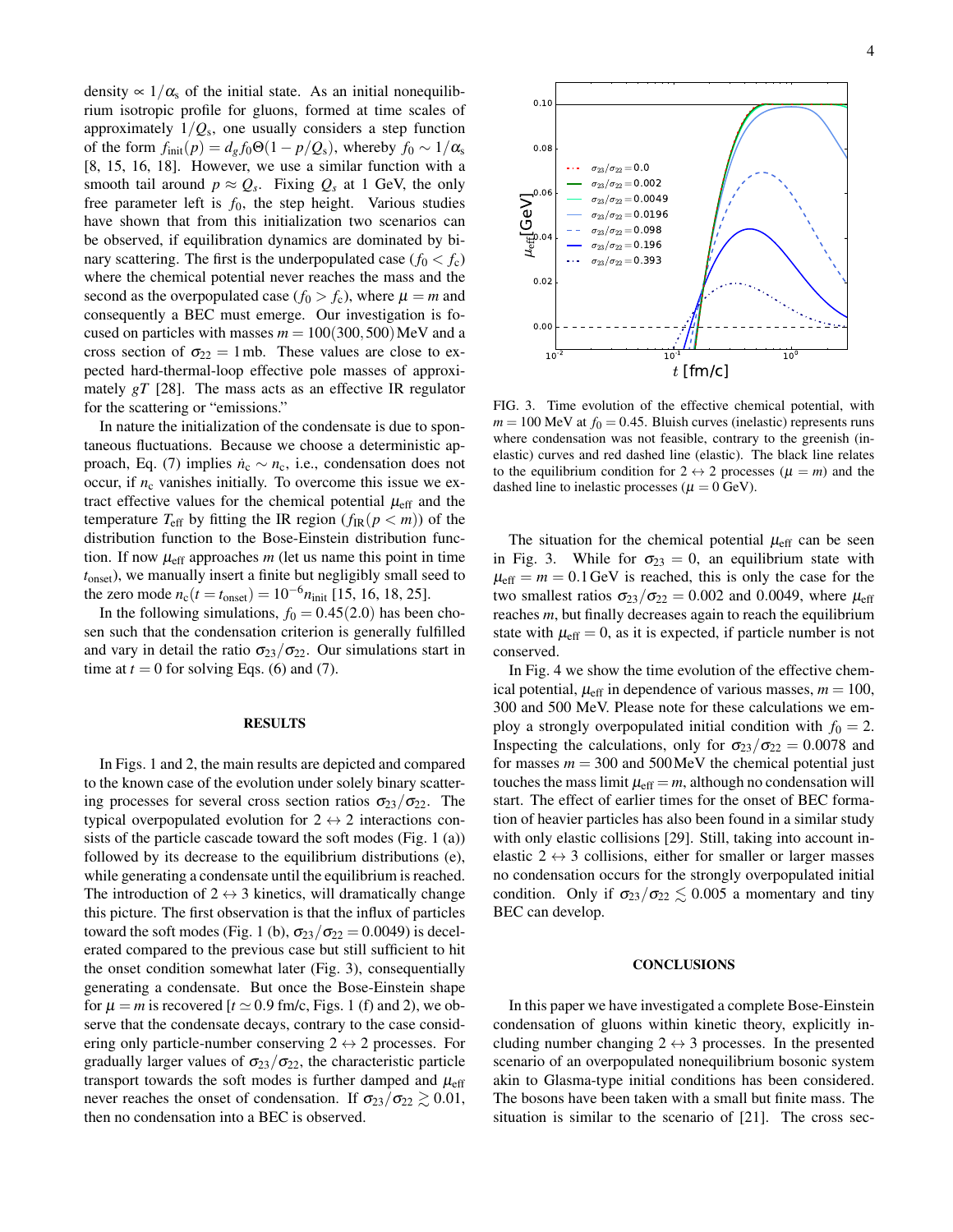density  $\propto 1/\alpha_s$  of the initial state. As an initial nonequilibrium isotropic profile for gluons, formed at time scales of approximately 1/*Q*<sup>s</sup> , one usually considers a step function of the form  $f_{init}(p) = d_g f_0 \Theta(1 - p/Q_s)$ , whereby  $f_0 \sim 1/\alpha_s$ [8, 15, 16, 18]. However, we use a similar function with a smooth tail around  $p \approx Q_s$ . Fixing  $Q_s$  at 1 GeV, the only free parameter left is  $f_0$ , the step height. Various studies have shown that from this initialization two scenarios can be observed, if equilibration dynamics are dominated by binary scattering. The first is the underpopulated case ( $f_0 < f_c$ ) where the chemical potential never reaches the mass and the second as the overpopulated case  $(f_0 > f_c)$ , where  $\mu = m$  and consequently a BEC must emerge. Our investigation is focused on particles with masses  $m = 100(300, 500)$  MeV and a cross section of  $\sigma_{22} = 1$  mb. These values are close to expected hard-thermal-loop effective pole masses of approximately *gT* [28]. The mass acts as an effective IR regulator for the scattering or "emissions."

In nature the initialization of the condensate is due to spontaneous fluctuations. Because we choose a deterministic approach, Eq. (7) implies  $\dot{n}_c \sim n_c$ , i.e., condensation does not occur, if  $n_c$  vanishes initially. To overcome this issue we extract effective values for the chemical potential  $\mu_{\text{eff}}$  and the temperature  $T_{\text{eff}}$  by fitting the IR region  $(f_{\text{IR}}(p < m))$  of the distribution function to the Bose-Einstein distribution function. If now  $\mu_{\text{eff}}$  approaches *m* (let us name this point in time *t*onset), we manually insert a finite but negligibly small seed to the zero mode  $n_c(t = t_{onset}) = 10^{-6} n_{init}$  [15, 16, 18, 25].

In the following simulations,  $f_0 = 0.45(2.0)$  has been chosen such that the condensation criterion is generally fulfilled and vary in detail the ratio  $\sigma_{23}/\sigma_{22}$ . Our simulations start in time at  $t = 0$  for solving Eqs. (6) and (7).

#### RESULTS

In Figs. 1 and 2, the main results are depicted and compared to the known case of the evolution under solely binary scattering processes for several cross section ratios  $\sigma_{23}/\sigma_{22}$ . The typical overpopulated evolution for  $2 \leftrightarrow 2$  interactions consists of the particle cascade toward the soft modes (Fig. 1 (a)) followed by its decrease to the equilibrium distributions (e), while generating a condensate until the equilibrium is reached. The introduction of  $2 \leftrightarrow 3$  kinetics, will dramatically change this picture. The first observation is that the influx of particles toward the soft modes (Fig. 1 (b),  $\sigma_{23}/\sigma_{22} = 0.0049$ ) is decelerated compared to the previous case but still sufficient to hit the onset condition somewhat later (Fig. 3), consequentially generating a condensate. But once the Bose-Einstein shape for  $\mu = m$  is recovered  $[t \approx 0.9$  fm/c, Figs. 1 (f) and 2), we observe that the condensate decays, contrary to the case considering only particle-number conserving  $2 \leftrightarrow 2$  processes. For gradually larger values of  $\sigma_{23}/\sigma_{22}$ , the characteristic particle transport towards the soft modes is further damped and  $\mu_{\text{eff}}$ never reaches the onset of condensation. If  $\sigma_{23}/\sigma_{22} \gtrsim 0.01$ , then no condensation into a BEC is observed.



FIG. 3. Time evolution of the effective chemical potential, with  $m = 100$  MeV at  $f<sub>0</sub> = 0.45$ . Bluish curves (inelastic) represents runs where condensation was not feasible, contrary to the greenish (inelastic) curves and red dashed line (elastic). The black line relates to the equilibrium condition for  $2 \leftrightarrow 2$  processes ( $\mu = m$ ) and the dashed line to inelastic processes ( $\mu = 0$  GeV).

The situation for the chemical potential  $\mu_{\text{eff}}$  can be seen in Fig. 3. While for  $\sigma_{23} = 0$ , an equilibrium state with  $\mu_{\text{eff}} = m = 0.1 \text{ GeV}$  is reached, this is only the case for the two smallest ratios  $\sigma_{23}/\sigma_{22} = 0.002$  and 0.0049, where  $\mu_{eff}$ reaches *m*, but finally decreases again to reach the equilibrium state with  $\mu_{\text{eff}} = 0$ , as it is expected, if particle number is not conserved.

In Fig. 4 we show the time evolution of the effective chemical potential,  $\mu_{eff}$  in dependence of various masses,  $m = 100$ , 300 and 500 MeV. Please note for these calculations we employ a strongly overpopulated initial condition with  $f_0 = 2$ . Inspecting the calculations, only for  $\sigma_{23}/\sigma_{22} = 0.0078$  and for masses  $m = 300$  and  $500$  MeV the chemical potential just touches the mass limit  $\mu_{\text{eff}} = m$ , although no condensation will start. The effect of earlier times for the onset of BEC formation of heavier particles has also been found in a similar study with only elastic collisions [29]. Still, taking into account inelastic  $2 \leftrightarrow 3$  collisions, either for smaller or larger masses no condensation occurs for the strongly overpopulated initial condition. Only if  $\sigma_{23}/\sigma_{22} \lesssim 0.005$  a momentary and tiny BEC can develop.

## **CONCLUSIONS**

In this paper we have investigated a complete Bose-Einstein condensation of gluons within kinetic theory, explicitly including number changing  $2 \leftrightarrow 3$  processes. In the presented scenario of an overpopulated nonequilibrium bosonic system akin to Glasma-type initial conditions has been considered. The bosons have been taken with a small but finite mass. The situation is similar to the scenario of [21]. The cross sec-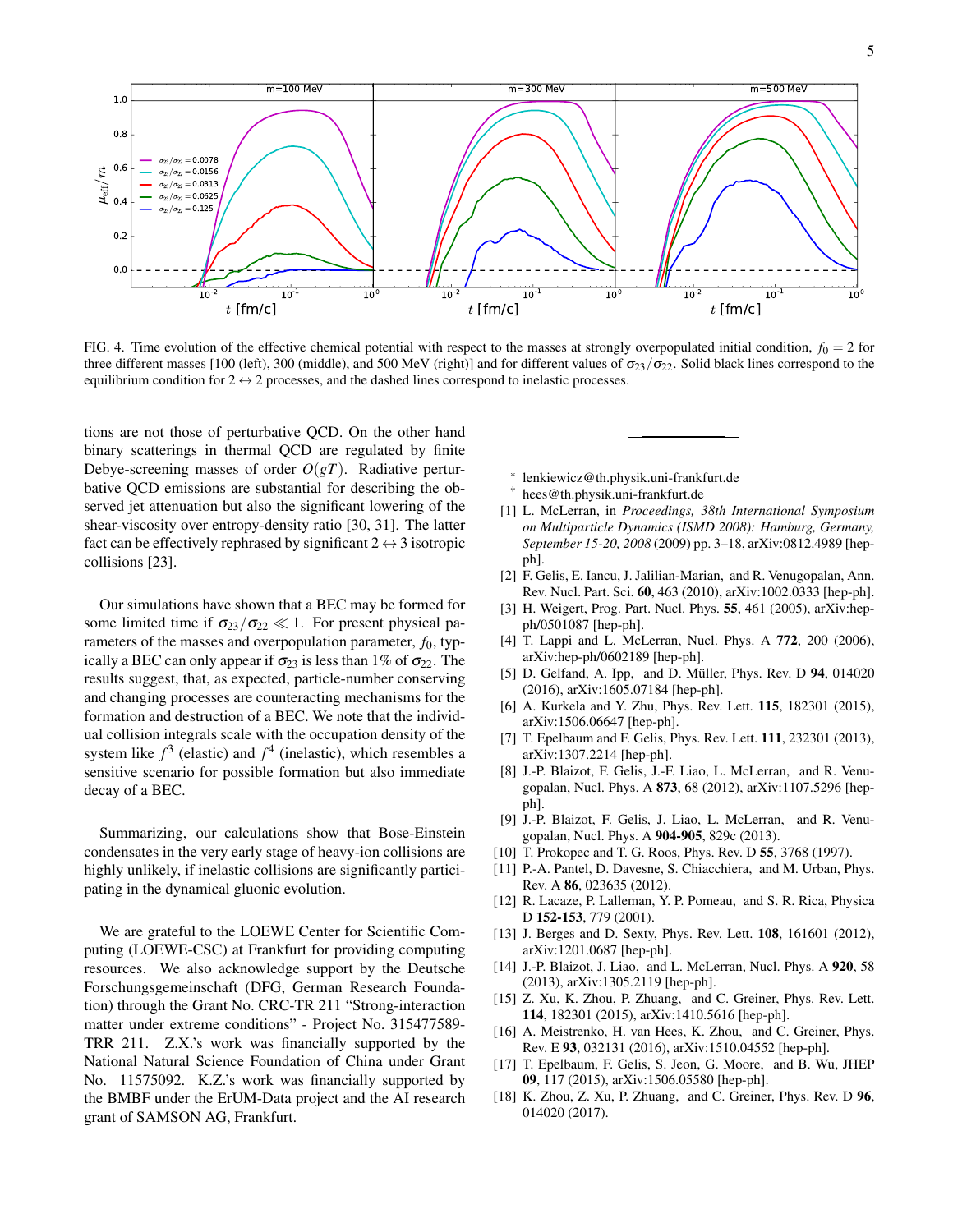

FIG. 4. Time evolution of the effective chemical potential with respect to the masses at strongly overpopulated initial condition,  $f_0 = 2$  for three different masses [100 (left), 300 (middle), and 500 MeV (right)] and for different values of  $\sigma_{23}/\sigma_{22}$ . Solid black lines correspond to the equilibrium condition for  $2 \leftrightarrow 2$  processes, and the dashed lines correspond to inelastic processes.

tions are not those of perturbative QCD. On the other hand binary scatterings in thermal QCD are regulated by finite Debye-screening masses of order *O*(*gT*). Radiative perturbative QCD emissions are substantial for describing the observed jet attenuation but also the significant lowering of the shear-viscosity over entropy-density ratio [30, 31]. The latter fact can be effectively rephrased by significant  $2 \leftrightarrow 3$  isotropic collisions [23].

Our simulations have shown that a BEC may be formed for some limited time if  $\sigma_{23}/\sigma_{22} \ll 1$ . For present physical parameters of the masses and overpopulation parameter,  $f_0$ , typically a BEC can only appear if  $\sigma_{23}$  is less than 1% of  $\sigma_{22}$ . The results suggest, that, as expected, particle-number conserving and changing processes are counteracting mechanisms for the formation and destruction of a BEC. We note that the individual collision integrals scale with the occupation density of the system like  $f^3$  (elastic) and  $f^4$  (inelastic), which resembles a sensitive scenario for possible formation but also immediate decay of a BEC.

Summarizing, our calculations show that Bose-Einstein condensates in the very early stage of heavy-ion collisions are highly unlikely, if inelastic collisions are significantly participating in the dynamical gluonic evolution.

We are grateful to the LOEWE Center for Scientific Computing (LOEWE-CSC) at Frankfurt for providing computing resources. We also acknowledge support by the Deutsche Forschungsgemeinschaft (DFG, German Research Foundation) through the Grant No. CRC-TR 211 "Strong-interaction matter under extreme conditions" - Project No. 315477589- TRR 211. Z.X.'s work was financially supported by the National Natural Science Foundation of China under Grant No. 11575092. K.Z.'s work was financially supported by the BMBF under the ErUM-Data project and the AI research grant of SAMSON AG, Frankfurt.

∗ lenkiewicz@th.physik.uni-frankfurt.de

- † hees@th.physik.uni-frankfurt.de
- [1] L. McLerran, in *Proceedings, 38th International Symposium on Multiparticle Dynamics (ISMD 2008): Hamburg, Germany, September 15-20, 2008* (2009) pp. 3–18, arXiv:0812.4989 [hepph].
- [2] F. Gelis, E. Iancu, J. Jalilian-Marian, and R. Venugopalan, Ann. Rev. Nucl. Part. Sci. 60, 463 (2010), arXiv:1002.0333 [hep-ph].
- [3] H. Weigert, Prog. Part. Nucl. Phys. 55, 461 (2005), arXiv:hepph/0501087 [hep-ph].
- [4] T. Lappi and L. McLerran, Nucl. Phys. A 772, 200 (2006), arXiv:hep-ph/0602189 [hep-ph].
- [5] D. Gelfand, A. Ipp, and D. Müller, Phys. Rev. D  $94$ , 014020 (2016), arXiv:1605.07184 [hep-ph].
- [6] A. Kurkela and Y. Zhu, Phys. Rev. Lett. **115**, 182301 (2015), arXiv:1506.06647 [hep-ph].
- [7] T. Epelbaum and F. Gelis, Phys. Rev. Lett. **111**, 232301 (2013), arXiv:1307.2214 [hep-ph].
- [8] J.-P. Blaizot, F. Gelis, J.-F. Liao, L. McLerran, and R. Venugopalan, Nucl. Phys. A 873, 68 (2012), arXiv:1107.5296 [hepph].
- [9] J.-P. Blaizot, F. Gelis, J. Liao, L. McLerran, and R. Venugopalan, Nucl. Phys. A 904-905, 829c (2013).
- [10] T. Prokopec and T. G. Roos, Phys. Rev. D 55, 3768 (1997).
- [11] P.-A. Pantel, D. Davesne, S. Chiacchiera, and M. Urban, Phys. Rev. A 86, 023635 (2012).
- [12] R. Lacaze, P. Lalleman, Y. P. Pomeau, and S. R. Rica, Physica D 152-153, 779 (2001).
- [13] J. Berges and D. Sexty, Phys. Rev. Lett. **108**, 161601 (2012), arXiv:1201.0687 [hep-ph].
- [14] J.-P. Blaizot, J. Liao, and L. McLerran, Nucl. Phys. A 920, 58 (2013), arXiv:1305.2119 [hep-ph].
- [15] Z. Xu, K. Zhou, P. Zhuang, and C. Greiner, Phys. Rev. Lett. 114, 182301 (2015), arXiv:1410.5616 [hep-ph].
- [16] A. Meistrenko, H. van Hees, K. Zhou, and C. Greiner, Phys. Rev. E 93, 032131 (2016), arXiv:1510.04552 [hep-ph].
- [17] T. Epelbaum, F. Gelis, S. Jeon, G. Moore, and B. Wu, JHEP 09, 117 (2015), arXiv:1506.05580 [hep-ph].
- [18] K. Zhou, Z. Xu, P. Zhuang, and C. Greiner, Phys. Rev. D 96, 014020 (2017).